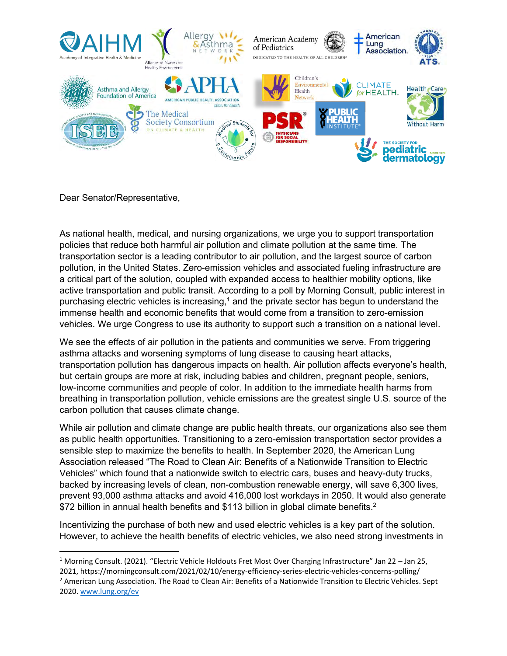

Dear Senator/Representative,

As national health, medical, and nursing organizations, we urge you to support transportation policies that reduce both harmful air pollution and climate pollution at the same time. The transportation sector is a leading contributor to air pollution, and the largest source of carbon pollution, in the United States. Zero-emission vehicles and associated fueling infrastructure are a critical part of the solution, coupled with expanded access to healthier mobility options, like active transportation and public transit. According to a poll by Morning Consult, public interest in purchasing electric vehicles is increasing, $1$  and the private sector has begun to understand the immense health and economic benefits that would come from a transition to zero-emission vehicles. We urge Congress to use its authority to support such a transition on a national level.

We see the effects of air pollution in the patients and communities we serve. From triggering asthma attacks and worsening symptoms of lung disease to causing heart attacks, transportation pollution has dangerous impacts on health. Air pollution affects everyone's health, but certain groups are more at risk, including babies and children, pregnant people, seniors, low-income communities and people of color. In addition to the immediate health harms from breathing in transportation pollution, vehicle emissions are the greatest single U.S. source of the carbon pollution that causes climate change.

While air pollution and climate change are public health threats, our organizations also see them as public health opportunities. Transitioning to a zero-emission transportation sector provides a sensible step to maximize the benefits to health. In September 2020, the American Lung Association released "The Road to Clean Air: Benefits of a Nationwide Transition to Electric Vehicles" which found that a nationwide switch to electric cars, buses and heavy-duty trucks, backed by increasing levels of clean, non-combustion renewable energy, will save 6,300 lives, prevent 93,000 asthma attacks and avoid 416,000 lost workdays in 2050. It would also generate \$72 billion in annual health benefits and \$113 billion in global climate benefits.<sup>2</sup>

Incentivizing the purchase of both new and used electric vehicles is a key part of the solution. However, to achieve the health benefits of electric vehicles, we also need strong investments in

<sup>&</sup>lt;sup>1</sup> Morning Consult. (2021). "Electric Vehicle Holdouts Fret Most Over Charging Infrastructure" Jan 22 – Jan 25, 2021, https://morningconsult.com/2021/02/10/energy-efficiency-series-electric-vehicles-concerns-polling/

<sup>&</sup>lt;sup>2</sup> American Lung Association. The Road to Clean Air: Benefits of a Nationwide Transition to Electric Vehicles. Sept 2020. [www.lung.org/ev](http://www.lung.org/ev)